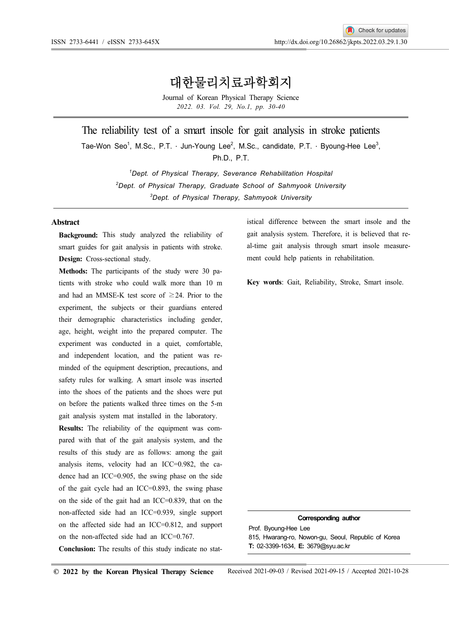# 대한물리치료과학회지

Journal of Korean Physical Therapy Science 2022. 03. Vol. 29, No.1, pp. 30-40

The reliability test of a smart insole for gait analysis in stroke patients

Tae-Won Seo<sup>1</sup>, M.Sc., P.T. · Jun-Young Lee<sup>2</sup>, M.Sc., candidate, P.T. · Byoung-Hee Lee<sup>3</sup>,<br>Ph.D., P.T.

<sup>1</sup>Dept. of Physical Therapy, Severance Rehabilitation Hospital  $2$ Dept. of Physical Therapy, Graduate School of Sahmyook University <sup>3</sup>Dept. of Physical Therapy, Sahmyook University

### Abstract

Background: This study analyzed the reliability of smart guides for gait analysis in patients with stroke. Design: Cross-sectional study.

Methods: The participants of the study were 30 patients with stroke who could walk more than 10 m and had an MMSE-K test score of  $\geq$ 24. Prior to the experiment, the subjects or their guardians entered their demographic characteristics including gender, age, height, weight into the prepared computer. The experiment was conducted in a quiet, comfortable, and independent location, and the patient was reminded of the equipment description, precautions, and safety rules for walking. A smart insole was inserted into the shoes of the patients and the shoes were put on before the patients walked three times on the 5-m gait analysis system mat installed in the laboratory.

Results: The reliability of the equipment was compared with that of the gait analysis system, and the results of this study are as follows: among the gait analysis items, velocity had an ICC=0.982, the cadence had an ICC=0.905, the swing phase on the side of the gait cycle had an ICC=0.893, the swing phase on the side of the gait had an ICC=0.839, that on the non-affected side had an ICC=0.939, single support on the affected side had an ICC=0.812, and support on the non-affected side had an ICC=0.767.

Conclusion: The results of this study indicate no stat-

istical difference between the smart insole and the gait analysis system. Therefore, it is believed that real-time gait analysis through smart insole measurement could help patients in rehabilitation.

Key words: Gait, Reliability, Stroke, Smart insole.

#### Corresponding author

Prof. Byoung-Hee Lee 815, Hwarang-ro, Nowon-gu, Seoul, Republic of Korea T: 02-3399-1634, E: 3679@syu.ac.kr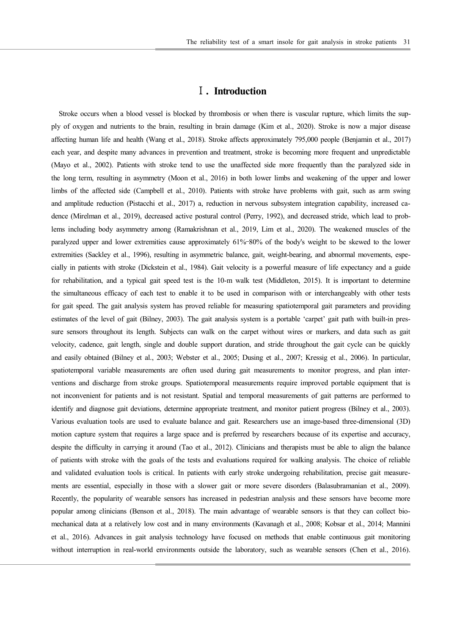### Ⅰ. Introduction

Stroke occurs when a blood vessel is blocked by thrombosis or when there is vascular rupture, which limits the supply of oxygen and nutrients to the brain, resulting in brain damage (Kim et al., 2020). Stroke is now a major disease affecting human life and health (Wang et al., 2018). Stroke affects approximately 795,000 people (Benjamin et al., 2017) each year, and despite many advances in prevention and treatment, stroke is becoming more frequent and unpredictable (Mayo et al., 2002). Patients with stroke tend to use the unaffected side more frequently than the paralyzed side in the long term, resulting in asymmetry (Moon et al., 2016) in both lower limbs and weakening of the upper and lower limbs of the affected side (Campbell et al., 2010). Patients with stroke have problems with gait, such as arm swing and amplitude reduction (Pistacchi et al., 2017) a, reduction in nervous subsystem integration capability, increased cadence (Mirelman et al., 2019), decreased active postural control (Perry, 1992), and decreased stride, which lead to problems including body asymmetry among (Ramakrishnan et al., 2019, Lim et al., 2020). The weakened muscles of the paralyzed upper and lower extremities cause approximately 61%-80% of the body's weight to be skewed to the lower extremities (Sackley et al., 1996), resulting in asymmetric balance, gait, weight-bearing, and abnormal movements, especially in patients with stroke (Dickstein et al., 1984). Gait velocity is a powerful measure of life expectancy and a guide for rehabilitation, and a typical gait speed test is the 10-m walk test (Middleton, 2015). It is important to determine the simultaneous efficacy of each test to enable it to be used in comparison with or interchangeably with other tests for gait speed. The gait analysis system has proved reliable for measuring spatiotemporal gait parameters and providing estimates of the level of gait (Bilney, 2003). The gait analysis system is a portable 'carpet' gait path with built-in pressure sensors throughout its length. Subjects can walk on the carpet without wires or markers, and data such as gait velocity, cadence, gait length, single and double support duration, and stride throughout the gait cycle can be quickly and easily obtained (Bilney et al., 2003; Webster et al., 2005; Dusing et al., 2007; Kressig et al., 2006). In particular, spatiotemporal variable measurements are often used during gait measurements to monitor progress, and plan interventions and discharge from stroke groups. Spatiotemporal measurements require improved portable equipment that is not inconvenient for patients and is not resistant. Spatial and temporal measurements of gait patterns are performed to identify and diagnose gait deviations, determine appropriate treatment, and monitor patient progress (Bilney et al., 2003). Various evaluation tools are used to evaluate balance and gait. Researchers use an image-based three-dimensional (3D) motion capture system that requires a large space and is preferred by researchers because of its expertise and accuracy, despite the difficulty in carrying it around (Tao et al., 2012). Clinicians and therapists must be able to align the balance of patients with stroke with the goals of the tests and evaluations required for walking analysis. The choice of reliable and validated evaluation tools is critical. In patients with early stroke undergoing rehabilitation, precise gait measurements are essential, especially in those with a slower gait or more severe disorders (Balasubramanian et al., 2009). Recently, the popularity of wearable sensors has increased in pedestrian analysis and these sensors have become more popular among clinicians (Benson et al., 2018). The main advantage of wearable sensors is that they can collect biomechanical data at a relatively low cost and in many environments (Kavanagh et al., 2008; Kobsar et al., 2014; Mannini et al., 2016). Advances in gait analysis technology have focused on methods that enable continuous gait monitoring without interruption in real-world environments outside the laboratory, such as wearable sensors (Chen et al., 2016).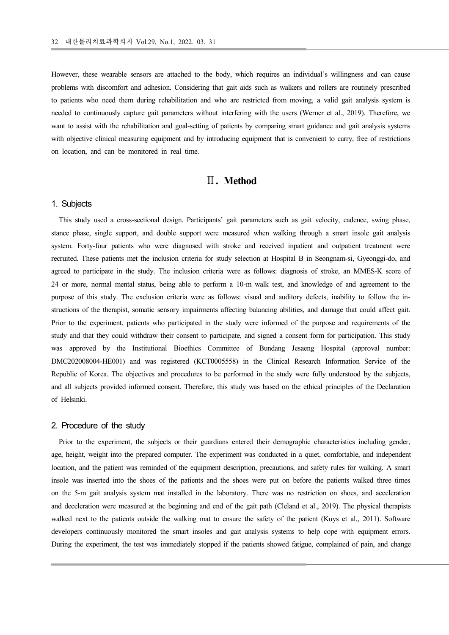However, these wearable sensors are attached to the body, which requires an individual's willingness and can cause problems with discomfort and adhesion. Considering that gait aids such as walkers and rollers are routinely prescribed to patients who need them during rehabilitation and who are restricted from moving, a valid gait analysis system is needed to continuously capture gait parameters without interfering with the users (Werner et al., 2019). Therefore, we want to assist with the rehabilitation and goal-setting of patients by comparing smart guidance and gait analysis systems with objective clinical measuring equipment and by introducing equipment that is convenient to carry, free of restrictions on location, and can be monitored in real time.

# Ⅱ. Method

### 1. Subjects

This study used a cross-sectional design. Participants' gait parameters such as gait velocity, cadence, swing phase, stance phase, single support, and double support were measured when walking through a smart insole gait analysis system. Forty-four patients who were diagnosed with stroke and received inpatient and outpatient treatment were recruited. These patients met the inclusion criteria for study selection at Hospital B in Seongnam-si, Gyeonggi-do, and agreed to participate in the study. The inclusion criteria were as follows: diagnosis of stroke, an MMES-K score of 24 or more, normal mental status, being able to perform a 10-m walk test, and knowledge of and agreement to the purpose of this study. The exclusion criteria were as follows: visual and auditory defects, inability to follow the instructions of the therapist, somatic sensory impairments affecting balancing abilities, and damage that could affect gait. Prior to the experiment, patients who participated in the study were informed of the purpose and requirements of the study and that they could withdraw their consent to participate, and signed a consent form for participation. This study was approved by the Institutional Bioethics Committee of Bundang Jesaeng Hospital (approval number: DMC202008004-HE001) and was registered (KCT0005558) in the Clinical Research Information Service of the Republic of Korea. The objectives and procedures to be performed in the study were fully understood by the subjects, and all subjects provided informed consent. Therefore, this study was based on the ethical principles of the Declaration of Helsinki.

#### 2. Procedure of the study

Prior to the experiment, the subjects or their guardians entered their demographic characteristics including gender, age, height, weight into the prepared computer. The experiment was conducted in a quiet, comfortable, and independent location, and the patient was reminded of the equipment description, precautions, and safety rules for walking. A smart insole was inserted into the shoes of the patients and the shoes were put on before the patients walked three times on the 5-m gait analysis system mat installed in the laboratory. There was no restriction on shoes, and acceleration and deceleration were measured at the beginning and end of the gait path (Cleland et al., 2019). The physical therapists walked next to the patients outside the walking mat to ensure the safety of the patient (Kuys et al., 2011). Software developers continuously monitored the smart insoles and gait analysis systems to help cope with equipment errors. During the experiment, the test was immediately stopped if the patients showed fatigue, complained of pain, and change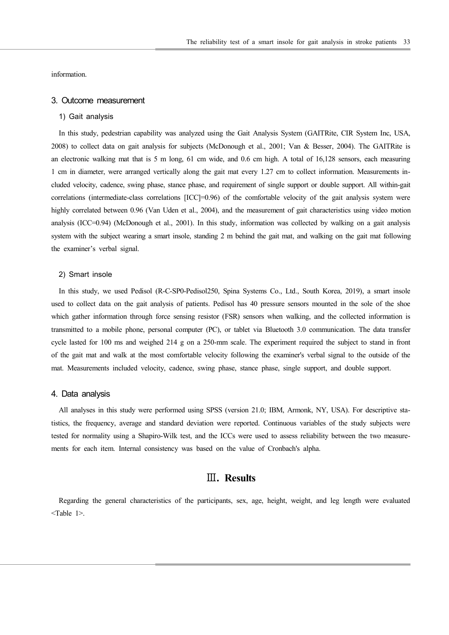information.

#### 3. Outcome measurement

#### 1) Gait analysis

In this study, pedestrian capability was analyzed using the Gait Analysis System (GAITRite, CIR System Inc, USA, 2008) to collect data on gait analysis for subjects (McDonough et al., 2001; Van & Besser, 2004). The GAITRite is an electronic walking mat that is 5 m long, 61 cm wide, and 0.6 cm high. A total of 16,128 sensors, each measuring 1 cm in diameter, were arranged vertically along the gait mat every 1.27 cm to collect information. Measurements included velocity, cadence, swing phase, stance phase, and requirement of single support or double support. All within-gait correlations (intermediate-class correlations [ICC]=0.96) of the comfortable velocity of the gait analysis system were highly correlated between 0.96 (Van Uden et al., 2004), and the measurement of gait characteristics using video motion analysis (ICC=0.94) (McDonough et al., 2001). In this study, information was collected by walking on a gait analysis system with the subject wearing a smart insole, standing 2 m behind the gait mat, and walking on the gait mat following the examiner's verbal signal.

#### 2) Smart insole

In this study, we used Pedisol (R-C-SP0-Pedisol250, Spina Systems Co., Ltd., South Korea, 2019), a smart insole used to collect data on the gait analysis of patients. Pedisol has 40 pressure sensors mounted in the sole of the shoe which gather information through force sensing resistor (FSR) sensors when walking, and the collected information is transmitted to a mobile phone, personal computer (PC), or tablet via Bluetooth 3.0 communication. The data transfer cycle lasted for 100 ms and weighed 214 g on a 250-mm scale. The experiment required the subject to stand in front of the gait mat and walk at the most comfortable velocity following the examiner's verbal signal to the outside of the mat. Measurements included velocity, cadence, swing phase, stance phase, single support, and double support.

#### 4. Data analysis

All analyses in this study were performed using SPSS (version 21.0; IBM, Armonk, NY, USA). For descriptive statistics, the frequency, average and standard deviation were reported. Continuous variables of the study subjects were tested for normality using a Shapiro-Wilk test, and the ICCs were used to assess reliability between the two measurements for each item. Internal consistency was based on the value of Cronbach's alpha.

# Ⅲ. Results

Regarding the general characteristics of the participants, sex, age, height, weight, and leg length were evaluated <Table 1>.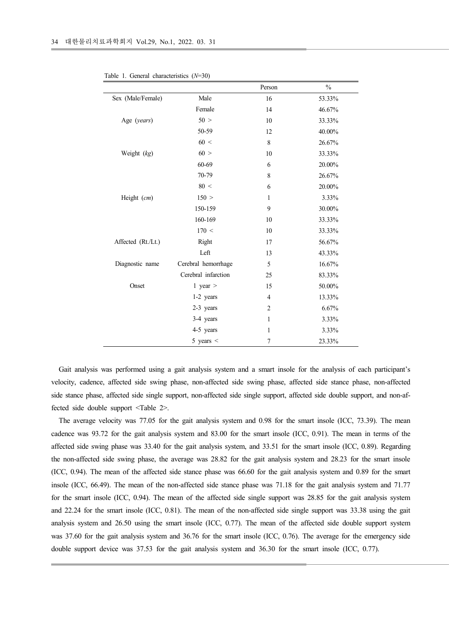| Table 1. General characteristics $(N=30)$ |                     |                  |           |
|-------------------------------------------|---------------------|------------------|-----------|
|                                           |                     | Person           | $\%$      |
| Sex (Male/Female)                         | Male                | 16               | 53.33%    |
|                                           | Female              | 14               | 46.67%    |
| Age (years)                               | $50$ $\times$       | $10\,$           | 33.33%    |
|                                           | 50-59               | $12\,$           | 40.00%    |
|                                           | 60 <                | $\,$ $\,$        | 26.67%    |
| Weight (kg)                               | $60\,$ $>$          | $10\,$           | 33.33%    |
|                                           | 60-69               | 6                | 20.00%    |
|                                           | 70-79               | $\,8\,$          | 26.67%    |
|                                           | 80 <                | 6                | $20.00\%$ |
| Height (cm)                               | 150 >               | $\mathbf{1}$     | 3.33%     |
|                                           | 150-159             | $\overline{9}$   | $30.00\%$ |
|                                           | 160-169             | $10\,$           | 33.33%    |
|                                           | $170 <$             | $10\,$           | 33.33%    |
| Affected (Rt./Lt.)                        | Right               | 17               | $56.67\%$ |
|                                           | Left                | 13               | 43.33%    |
| Diagnostic name                           | Cerebral hemorrhage | $\sqrt{5}$       | 16.67%    |
|                                           | Cerebral infarction | $25\,$           | 83.33%    |
| Onset                                     | 1 year $>$          | 15               | $50.00\%$ |
|                                           | 1-2 years           | 4                | 13.33%    |
|                                           | 2-3 years           | $\boldsymbol{2}$ | $6.67\%$  |
|                                           | 3-4 years           | 1                | 3.33%     |
|                                           | 4-5 years           | $\mathbf{1}$     | 3.33%     |
|                                           | 5 years $\le$       | $\boldsymbol{7}$ | 23.33%    |

Table 1. General characteristics  $(N=30)$ 

Gait analysis was performed using a gait analysis system and a smart insole for the analysis of each participant's velocity, cadence, affected side swing phase, non-affected side swing phase, affected side stance phase, non-affected side stance phase, affected side single support, non-affected side single support, affected side double support, and non-affected side double support <Table 2>.

The average velocity was 77.05 for the gait analysis system and 0.98 for the smart insole (ICC, 73.39). The mean cadence was 93.72 for the gait analysis system and 83.00 for the smart insole (ICC, 0.91). The mean in terms of the affected side swing phase was 33.40 for the gait analysis system, and 33.51 for the smart insole (ICC, 0.89). Regarding the non-affected side swing phase, the average was 28.82 for the gait analysis system and 28.23 for the smart insole (ICC, 0.94). The mean of the affected side stance phase was 66.60 for the gait analysis system and 0.89 for the smart insole (ICC, 66.49). The mean of the non-affected side stance phase was 71.18 for the gait analysis system and 71.77 for the smart insole (ICC, 0.94). The mean of the affected side single support was 28.85 for the gait analysis system and 22.24 for the smart insole (ICC, 0.81). The mean of the non-affected side single support was 33.38 using the gait analysis system and 26.50 using the smart insole (ICC, 0.77). The mean of the affected side double support system was 37.60 for the gait analysis system and 36.76 for the smart insole (ICC, 0.76). The average for the emergency side double support device was 37.53 for the gait analysis system and 36.30 for the smart insole (ICC, 0.77).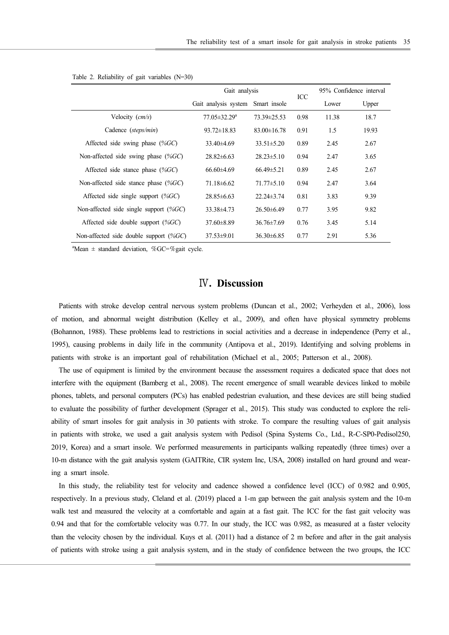|                                                          | The reliability test of a smart insole for gait analysis in stroke patients 35 |                  |            |                         |       |
|----------------------------------------------------------|--------------------------------------------------------------------------------|------------------|------------|-------------------------|-------|
|                                                          |                                                                                |                  |            |                         |       |
|                                                          |                                                                                |                  |            |                         |       |
|                                                          |                                                                                |                  |            |                         |       |
| Table 2. Reliability of gait variables (N=30)            |                                                                                |                  |            |                         |       |
|                                                          | Gait analysis                                                                  |                  | $\rm{ICC}$ | 95% Confidence interval |       |
|                                                          | Gait analysis system Smart insole                                              |                  |            | Lower                   | Upper |
| Velocity (cm/s)                                          | 77.05±32.29 <sup>a</sup>                                                       | 73.39±25.53      | 0.98       | 11.38                   | 18.7  |
| Cadence (steps/min)                                      | 93.72±18.83                                                                    | 83.00±16.78      | 0.91       | 1.5                     | 19.93 |
| Affected side swing phase (%GC)                          | 33.40±4.69                                                                     | $33.51 \pm 5.20$ | 0.89       | 2.45                    | 2.67  |
| Non-affected side swing phase (%GC)                      | 28.82±6.63                                                                     | $28.23 \pm 5.10$ | 0.94       | 2.47                    | 3.65  |
| Affected side stance phase (%GC)                         | 66.60±4.69                                                                     | $66.49 \pm 5.21$ | 0.89       | 2.45                    | 2.67  |
| Non-affected side stance phase (%GC)                     | $71.18 \pm 6.62$                                                               | $71.77 \pm 5.10$ | 0.94       | 2.47                    | 3.64  |
| Affected side single support (%GC)                       | $28.85\pm 6.63$                                                                | 22.24±3.74       | 0.81       | 3.83                    | 9.39  |
| Non-affected side single support (%GC)                   | 33.38±4.73                                                                     | $26.50\pm6.49$   | 0.77       | 3.95                    | 9.82  |
| Affected side double support (%GC)                       | 37.60±8.89                                                                     | 36.76±7.69       | 0.76       | 3.45                    | 5.14  |
| Non-affected side double support (%GC)                   | $37.53 \pm 9.01$                                                               | 36.30±6.85       | 0.77       | 2.91                    | 5.36  |
| <sup>a</sup> Mean ± standard deviation, %GC=%gait cycle. |                                                                                |                  |            |                         |       |
|                                                          |                                                                                |                  |            |                         |       |
|                                                          |                                                                                |                  |            |                         |       |
|                                                          | <b>IV.</b> Discussion                                                          |                  |            |                         |       |
|                                                          |                                                                                |                  |            |                         |       |
|                                                          |                                                                                |                  |            |                         |       |

# Ⅳ. Discussion

Patients with stroke develop central nervous system problems (Duncan et al., 2002; Verheyden et al., 2006), loss of motion, and abnormal weight distribution (Kelley et al., 2009), and often have physical symmetry problems (Bohannon, 1988). These problems lead to restrictions in social activities and a decrease in independence (Perry et al., 1995), causing problems in daily life in the community (Antipova et al., 2019). Identifying and solving problems in patients with stroke is an important goal of rehabilitation (Michael et al., 2005; Patterson et al., 2008).

The use of equipment is limited by the environment because the assessment requires a dedicated space that does not interfere with the equipment (Bamberg et al., 2008). The recent emergence of small wearable devices linked to mobile phones, tablets, and personal computers (PCs) has enabled pedestrian evaluation, and these devices are still being studied to evaluate the possibility of further development (Sprager et al., 2015). This study was conducted to explore the reliability of smart insoles for gait analysis in 30 patients with stroke. To compare the resulting values of gait analysis in patients with stroke, we used a gait analysis system with Pedisol (Spina Systems Co., Ltd., R-C-SP0-Pedisol250, 2019, Korea) and a smart insole. We performed measurements in participants walking repeatedly (three times) over a 10-m distance with the gait analysis system (GAITRite, CIR system Inc, USA, 2008) installed on hard ground and wearing a smart insole.

In this study, the reliability test for velocity and cadence showed a confidence level (ICC) of 0.982 and 0.905, respectively. In a previous study, Cleland et al. (2019) placed a 1-m gap between the gait analysis system and the 10-m walk test and measured the velocity at a comfortable and again at a fast gait. The ICC for the fast gait velocity was 0.94 and that for the comfortable velocity was 0.77. In our study, the ICC was 0.982, as measured at a faster velocity than the velocity chosen by the individual. Kuys et al. (2011) had a distance of 2 m before and after in the gait analysis of patients with stroke using a gait analysis system, and in the study of confidence between the two groups, the ICC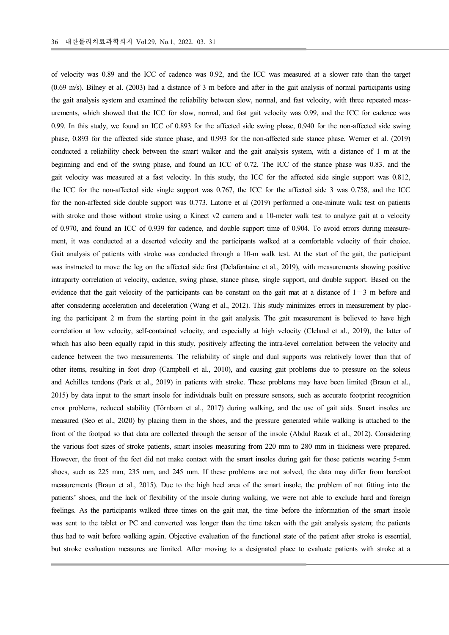of velocity was 0.89 and the ICC of cadence was 0.92, and the ICC was measured at a slower rate than the target (0.69 m/s). Bilney et al. (2003) had a distance of 3 m before and after in the gait analysis of normal participants using the gait analysis system and examined the reliability between slow, normal, and fast velocity, with three repeated measurements, which showed that the ICC for slow, normal, and fast gait velocity was 0.99, and the ICC for cadence was 0.99. In this study, we found an ICC of 0.893 for the affected side swing phase, 0.940 for the non-affected side swing phase, 0.893 for the affected side stance phase, and 0.993 for the non-affected side stance phase. Werner et al. (2019) conducted a reliability check between the smart walker and the gait analysis system, with a distance of 1 m at the beginning and end of the swing phase, and found an ICC of 0.72. The ICC of the stance phase was 0.83. and the gait velocity was measured at a fast velocity. In this study, the ICC for the affected side single support was 0.812, the ICC for the non-affected side single support was 0.767, the ICC for the affected side 3 was 0.758, and the ICC for the non-affected side double support was 0.773. Latorre et al (2019) performed a one-minute walk test on patients with stroke and those without stroke using a Kinect v2 camera and a 10-meter walk test to analyze gait at a velocity of 0.970, and found an ICC of 0.939 for cadence, and double support time of 0.904. To avoid errors during measurement, it was conducted at a deserted velocity and the participants walked at a comfortable velocity of their choice. Gait analysis of patients with stroke was conducted through a 10-m walk test. At the start of the gait, the participant was instructed to move the leg on the affected side first (Delafontaine et al., 2019), with measurements showing positive intraparty correlation at velocity, cadence, swing phase, stance phase, single support, and double support. Based on the evidence that the gait velocity of the participants can be constant on the gait mat at a distance of  $1 - 3$  m before and after considering acceleration and deceleration (Wang et al., 2012). This study minimizes errors in measurement by placing the participant 2 m from the starting point in the gait analysis. The gait measurement is believed to have high correlation at low velocity, self-contained velocity, and especially at high velocity (Cleland et al., 2019), the latter of which has also been equally rapid in this study, positively affecting the intra-level correlation between the velocity and cadence between the two measurements. The reliability of single and dual supports was relatively lower than that of other items, resulting in foot drop (Campbell et al., 2010), and causing gait problems due to pressure on the soleus and Achilles tendons (Park et al., 2019) in patients with stroke. These problems may have been limited (Braun et al., 2015) by data input to the smart insole for individuals built on pressure sensors, such as accurate footprint recognition error problems, reduced stability (Törnbom et al., 2017) during walking, and the use of gait aids. Smart insoles are measured (Seo et al., 2020) by placing them in the shoes, and the pressure generated while walking is attached to the front of the footpad so that data are collected through the sensor of the insole (Abdul Razak et al., 2012). Considering the various foot sizes of stroke patients, smart insoles measuring from 220 mm to 280 mm in thickness were prepared. However, the front of the feet did not make contact with the smart insoles during gait for those patients wearing 5-mm shoes, such as 225 mm, 235 mm, and 245 mm. If these problems are not solved, the data may differ from barefoot measurements (Braun et al., 2015). Due to the high heel area of the smart insole, the problem of not fitting into the patients' shoes, and the lack of flexibility of the insole during walking, we were not able to exclude hard and foreign feelings. As the participants walked three times on the gait mat, the time before the information of the smart insole was sent to the tablet or PC and converted was longer than the time taken with the gait analysis system; the patients thus had to wait before walking again. Objective evaluation of the functional state of the patient after stroke is essential, but stroke evaluation measures are limited. After moving to a designated place to evaluate patients with stroke at a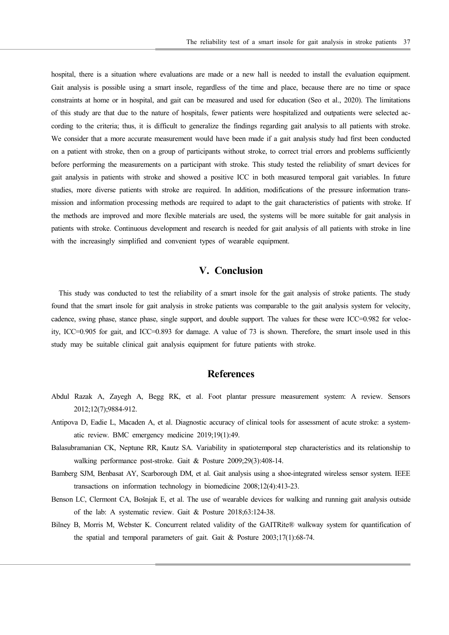hospital, there is a situation where evaluations are made or a new hall is needed to install the evaluation equipment. Gait analysis is possible using a smart insole, regardless of the time and place, because there are no time or space constraints at home or in hospital, and gait can be measured and used for education (Seo et al., 2020). The limitations of this study are that due to the nature of hospitals, fewer patients were hospitalized and outpatients were selected according to the criteria; thus, it is difficult to generalize the findings regarding gait analysis to all patients with stroke. We consider that a more accurate measurement would have been made if a gait analysis study had first been conducted on a patient with stroke, then on a group of participants without stroke, to correct trial errors and problems sufficiently before performing the measurements on a participant with stroke. This study tested the reliability of smart devices for gait analysis in patients with stroke and showed a positive ICC in both measured temporal gait variables. In future studies, more diverse patients with stroke are required. In addition, modifications of the pressure information transmission and information processing methods are required to adapt to the gait characteristics of patients with stroke. If the methods are improved and more flexible materials are used, the systems will be more suitable for gait analysis in patients with stroke. Continuous development and research is needed for gait analysis of all patients with stroke in line with the increasingly simplified and convenient types of wearable equipment.

# V. Conclusion

This study was conducted to test the reliability of a smart insole for the gait analysis of stroke patients. The study found that the smart insole for gait analysis in stroke patients was comparable to the gait analysis system for velocity, cadence, swing phase, stance phase, single support, and double support. The values for these were ICC=0.982 for velocity, ICC=0.905 for gait, and ICC=0.893 for damage. A value of 73 is shown. Therefore, the smart insole used in this study may be suitable clinical gait analysis equipment for future patients with stroke.

### **References**

- Abdul Razak A, Zayegh A, Begg RK, et al. Foot plantar pressure measurement system: A review. Sensors 2012;12(7);9884-912.
- Antipova D, Eadie L, Macaden A, et al. Diagnostic accuracy of clinical tools for assessment of acute stroke: a systematic review. BMC emergency medicine 2019;19(1):49.
- Balasubramanian CK, Neptune RR, Kautz SA. Variability in spatiotemporal step characteristics and its relationship to walking performance post-stroke. Gait & Posture 2009;29(3):408-14.
- Bamberg SJM, Benbasat AY, Scarborough DM, et al. Gait analysis using a shoe-integrated wireless sensor system. IEEE transactions on information technology in biomedicine 2008;12(4):413-23.
- Benson LC, Clermont CA, Bošnjak E, et al. The use of wearable devices for walking and running gait analysis outside of the lab: A systematic review. Gait & Posture 2018;63:124-38.
- Bilney B, Morris M, Webster K. Concurrent related validity of the GAITRite® walkway system for quantification of the spatial and temporal parameters of gait. Gait & Posture 2003;17(1):68-74.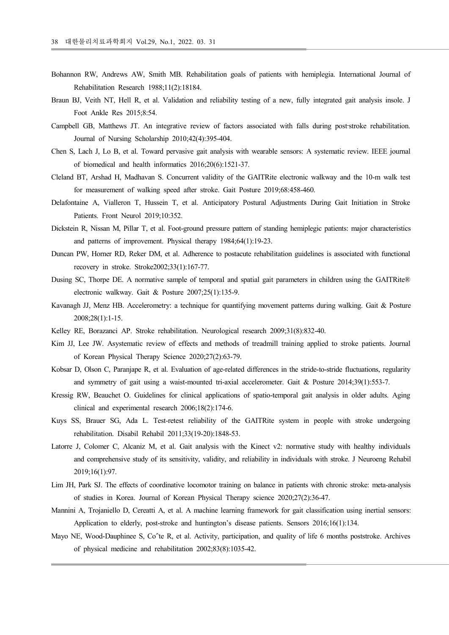- Bohannon RW, Andrews AW, Smith MB. Rehabilitation goals of patients with hemiplegia. International Journal of Rehabilitation Research 1988;11(2):18184.
- Braun BJ, Veith NT, Hell R, et al. Validation and reliability testing of a new, fully integrated gait analysis insole. J Foot Ankle Res 2015;8:54.
- Campbell GB, Matthews JT. An integrative review of factors associated with falls during post-stroke rehabilitation. Journal of Nursing Scholarship 2010;42(4):395-404.
- Chen S, Lach J, Lo B, et al. Toward pervasive gait analysis with wearable sensors: A systematic review. IEEE journal of biomedical and health informatics 2016;20(6):1521-37.
- Cleland BT, Arshad H, Madhavan S. Concurrent validity of the GAITRite electronic walkway and the 10-m walk test for measurement of walking speed after stroke. Gait Posture 2019;68:458-460.
- Delafontaine A, Vialleron T, Hussein T, et al. Anticipatory Postural Adjustments During Gait Initiation in Stroke Patients. Front Neurol 2019;10:352.
- Dickstein R, Nissan M, Pillar T, et al. Foot-ground pressure pattern of standing hemiplegic patients: major characteristics and patterns of improvement. Physical therapy 1984;64(1):19-23.
- Duncan PW, Horner RD, Reker DM, et al. Adherence to postacute rehabilitation guidelines is associated with functional recovery in stroke. Stroke2002;33(1):167-77.
- Dusing SC, Thorpe DE. A normative sample of temporal and spatial gait parameters in children using the GAITRite® electronic walkway. Gait & Posture 2007;25(1):135-9.
- Kavanagh JJ, Menz HB. Accelerometry: a technique for quantifying movement patterns during walking. Gait & Posture 2008;28(1):1-15.
- Kelley RE, Borazanci AP. Stroke rehabilitation. Neurological research 2009;31(8):832-40.
- Kim JJ, Lee JW. Asystematic review of effects and methods of treadmill training applied to stroke patients. Journal of Korean Physical Therapy Science 2020;27(2):63-79.
- Kobsar D, Olson C, Paranjape R, et al. Evaluation of age-related differences in the stride-to-stride fluctuations, regularity and symmetry of gait using a waist-mounted tri-axial accelerometer. Gait & Posture 2014;39(1):553-7.
- Kressig RW, Beauchet O. Guidelines for clinical applications of spatio-temporal gait analysis in older adults. Aging clinical and experimental research 2006;18(2):174-6.
- Kuys SS, Brauer SG, Ada L. Test-retest reliability of the GAITRite system in people with stroke undergoing rehabilitation. Disabil Rehabil 2011;33(19-20):1848-53.
- Latorre J, Colomer C, Alcaniz M, et al. Gait analysis with the Kinect v2: normative study with healthy individuals and comprehensive study of its sensitivity, validity, and reliability in individuals with stroke. J Neuroeng Rehabil 2019;16(1):97.
- Lim JH, Park SJ. The effects of coordinative locomotor training on balance in patients with chronic stroke: meta-analysis of studies in Korea. Journal of Korean Physical Therapy science 2020;27(2):36-47.
- Mannini A, Trojaniello D, Cereatti A, et al. A machine learning framework for gait classification using inertial sensors: Application to elderly, post-stroke and huntington's disease patients. Sensors 2016;16(1):134.
- Mayo NE, Wood-Dauphinee S, Co^te R, et al. Activity, participation, and quality of life 6 months poststroke. Archives of physical medicine and rehabilitation 2002;83(8):1035-42.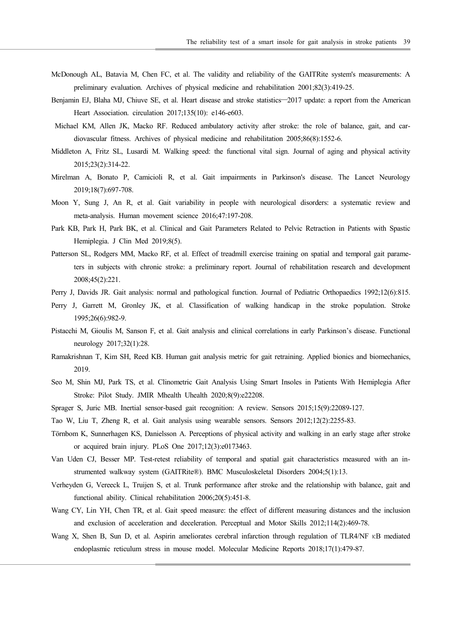- McDonough AL, Batavia M, Chen FC, et al. The validity and reliability of the GAITRite system's measurements: A preliminary evaluation. Archives of physical medicine and rehabilitation 2001;82(3):419-25.
- Benjamin EJ, Blaha MJ, Chiuve SE, et al. Heart disease and stroke statistics -2017 update: a report from the American Heart Association. circulation 2017;135(10): e146-e603.
- Michael KM, Allen JK, Macko RF. Reduced ambulatory activity after stroke: the role of balance, gait, and cardiovascular fitness. Archives of physical medicine and rehabilitation 2005;86(8):1552-6.
- Middleton A, Fritz SL, Lusardi M. Walking speed: the functional vital sign. Journal of aging and physical activity 2015;23(2):314-22.
- Mirelman A, Bonato P, Camicioli R, et al. Gait impairments in Parkinson's disease. The Lancet Neurology 2019;18(7):697-708.
- Moon Y, Sung J, An R, et al. Gait variability in people with neurological disorders: a systematic review and meta-analysis. Human movement science 2016;47:197-208.
- Park KB, Park H, Park BK, et al. Clinical and Gait Parameters Related to Pelvic Retraction in Patients with Spastic Hemiplegia. J Clin Med 2019;8(5).
- Patterson SL, Rodgers MM, Macko RF, et al. Effect of treadmill exercise training on spatial and temporal gait parameters in subjects with chronic stroke: a preliminary report. Journal of rehabilitation research and development 2008;45(2):221.
- Perry J, Davids JR. Gait analysis: normal and pathological function. Journal of Pediatric Orthopaedics 1992;12(6):815.
- Perry J, Garrett M, Gronley JK, et al. Classification of walking handicap in the stroke population. Stroke 1995;26(6):982-9.
- Pistacchi M, Gioulis M, Sanson F, et al. Gait analysis and clinical correlations in early Parkinson's disease. Functional neurology 2017;32(1):28.
- Ramakrishnan T, Kim SH, Reed KB. Human gait analysis metric for gait retraining. Applied bionics and biomechanics, 2019.
- Seo M, Shin MJ, Park TS, et al. Clinometric Gait Analysis Using Smart Insoles in Patients With Hemiplegia After Stroke: Pilot Study. JMIR Mhealth Uhealth 2020;8(9):e22208.
- Sprager S, Juric MB. Inertial sensor-based gait recognition: A review. Sensors 2015;15(9):22089-127.
- Tao W, Liu T, Zheng R, et al. Gait analysis using wearable sensors. Sensors 2012;12(2):2255-83.
- Törnbom K, Sunnerhagen KS, Danielsson A. Perceptions of physical activity and walking in an early stage after stroke or acquired brain injury. PLoS One 2017;12(3):e0173463.
- Van Uden CJ, Besser MP. Test-retest reliability of temporal and spatial gait characteristics measured with an instrumented walkway system (GAITRite®). BMC Musculoskeletal Disorders 2004;5(1):13.
- Verheyden G, Vereeck L, Truijen S, et al. Trunk performance after stroke and the relationship with balance, gait and functional ability. Clinical rehabilitation 2006;20(5):451-8.
- Wang CY, Lin YH, Chen TR, et al. Gait speed measure: the effect of different measuring distances and the inclusion and exclusion of acceleration and deceleration. Perceptual and Motor Skills 2012;114(2):469-78.
- Wang X, Shen B, Sun D, et al. Aspirin ameliorates cerebral infarction through regulation of TLR4/NF κB mediated endoplasmic reticulum stress in mouse model. Molecular Medicine Reports 2018;17(1):479-87.